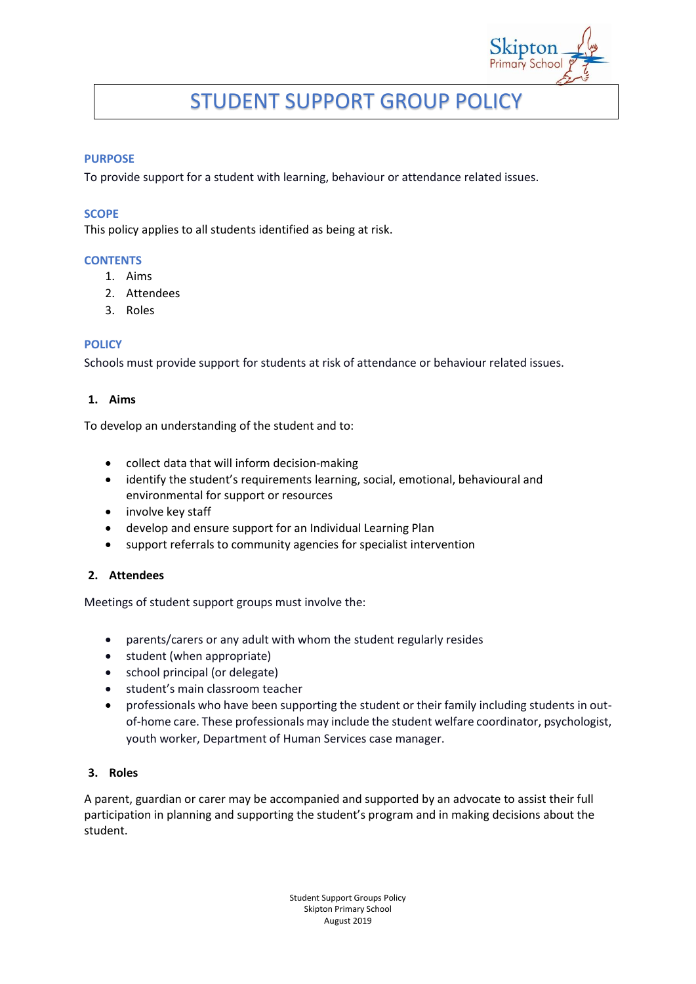# STUDENT SUPPORT GROUP POLICY

#### **PURPOSE**

To provide support for a student with learning, behaviour or attendance related issues.

#### **SCOPE**

This policy applies to all students identified as being at risk.

#### **CONTENTS**

- 1. Aims
- 2. Attendees
- 3. Roles

### **POLICY**

Schools must provide support for students at risk of attendance or behaviour related issues.

### **1. Aims**

To develop an understanding of the student and to:

- collect data that will inform decision-making
- identify the student's requirements learning, social, emotional, behavioural and environmental for support or resources
- involve key staff
- develop and ensure support for an Individual Learning Plan
- support referrals to community agencies for specialist intervention

### **2. Attendees**

Meetings of student support groups must involve the:

- parents/carers or any adult with whom the student regularly resides
- student (when appropriate)
- school principal (or delegate)
- **•** student's main classroom teacher
- professionals who have been supporting the student or their family including students in outof-home care. These professionals may include the student welfare coordinator, psychologist, youth worker, Department of Human Services case manager.

## **3. Roles**

A parent, guardian or carer may be accompanied and supported by an advocate to assist their full participation in planning and supporting the student's program and in making decisions about the student.

> Student Support Groups Policy Skipton Primary School August 2019